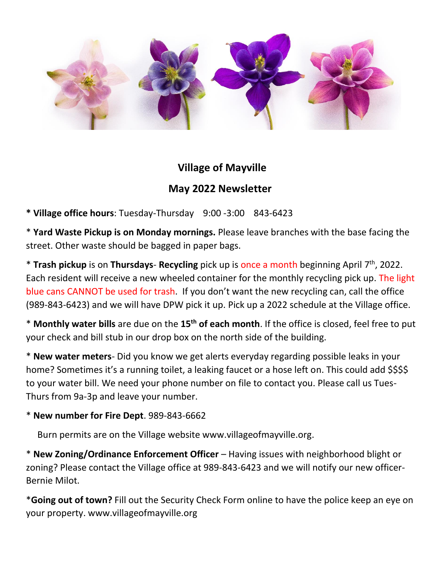

## **Village of Mayville May 2022 Newsletter**

**\* Village office hours**: Tuesday-Thursday 9:00 -3:00 843-6423

\* **Yard Waste Pickup is on Monday mornings.** Please leave branches with the base facing the street. Other waste should be bagged in paper bags.

\* **Trash pickup** is on **Thursdays**- **Recycling** pick up is once a month beginning April 7 th , 2022. Each resident will receive a new wheeled container for the monthly recycling pick up. The light blue cans CANNOT be used for trash. If you don't want the new recycling can, call the office (989-843-6423) and we will have DPW pick it up. Pick up a 2022 schedule at the Village office.

\* **Monthly water bills** are due on the **15th of each month**. If the office is closed, feel free to put your check and bill stub in our drop box on the north side of the building.

\* **New water meters**- Did you know we get alerts everyday regarding possible leaks in your home? Sometimes it's a running toilet, a leaking faucet or a hose left on. This could add \$\$\$\$ to your water bill. We need your phone number on file to contact you. Please call us Tues-Thurs from 9a-3p and leave your number.

## \* **New number for Fire Dept**. 989-843-6662

Burn permits are on the Village website www.villageofmayville.org.

\* **New Zoning/Ordinance Enforcement Officer** – Having issues with neighborhood blight or zoning? Please contact the Village office at 989-843-6423 and we will notify our new officer-Bernie Milot.

\***Going out of town?** Fill out the Security Check Form online to have the police keep an eye on your property. www.villageofmayville.org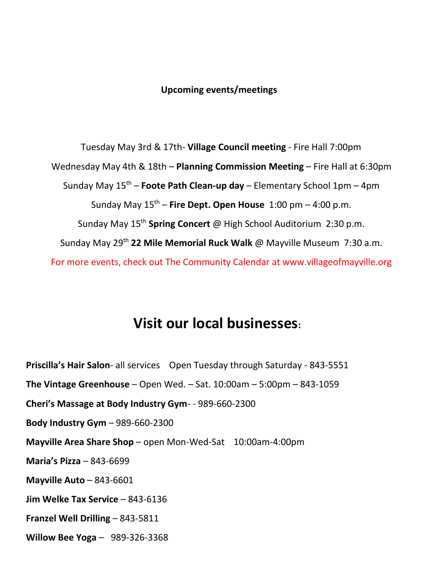## **Upcoming events/meetings**

 Tuesday May 3rd & 17th- **Village Council meeting** - Fire Hall 7:00pm Wednesday May 4th & 18th – **Planning Commission Meeting** – Fire Hall at 6:30pm Sunday May 15th – **Foote Path Clean-up day** – Elementary School 1pm – 4pm Sunday May 15th – **Fire Dept. Open House** 1:00 pm – 4:00 p.m. Sunday May 15th **Spring Concert** @ High School Auditorium 2:30 p.m. Sunday May 29th **22 Mile Memorial Ruck Walk** @ Mayville Museum 7:30 a.m. For more events, check out The Community Calendar at www.villageofmayville.org

## **Visit our local businesses:**

**Priscilla's Hair Salon**- all services Open Tuesday through Saturday - 843-5551 **The Vintage Greenhouse** – Open Wed. – Sat. 10:00am – 5:00pm – 843-1059 **Cheri's Massage at Body Industry Gym**- - 989-660-2300 **Body Industry Gym** – 989-660-2300 **Mayville Area Share Shop** – open Mon-Wed-Sat 10:00am-4:00pm **Maria's Pizza** – 843-6699 **Mayville Auto** – 843-6601 **Jim Welke Tax Service** – 843-6136 **Franzel Well Drilling** – 843-5811 **Willow Bee Yoga** – 989-326-3368